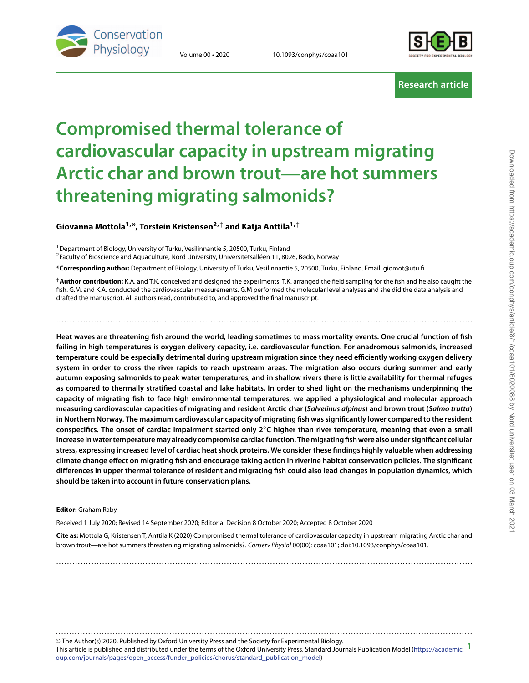

Volume 00 • 2020 10.1093/conphys/coaa101



**Research article**

# **Compromised thermal tolerance of cardiovascular capacity in upstream migrating Arctic char and brown trout**—**are hot summers threatening migrating salmonids?**

### **Giovanna Mottola1,\*, Torstein Kristensen2,**† **and Katja Anttila1,**†

1Department of Biology, University of Turku, Vesilinnantie 5, 20500, Turku, Finland

<sup>2</sup>Faculty of Bioscience and Aquaculture, Nord University, Universitetsalléen 11, 8026, Bødo, Norway

**\*Corresponding author:** Department of Biology, University of Turku, Vesilinnantie 5, 20500, Turku, Finland. Email: giomot@utu.fi

†**Author contribution:** K.A. and T.K. conceived and designed the experiments. T.K. arranged the field sampling for the fish and he also caught the fish. G.M. and K.A. conducted the cardiovascular measurements. G.M performed the molecular level analyses and she did the data analysis and drafted the manuscript. All authors read, contributed to, and approved the final manuscript.

..........................................................................................................................................................

**Heat waves are threatening fish around the world, leading sometimes to mass mortality events. One crucial function of fish failing in high temperatures is oxygen delivery capacity, i.e. cardiovascular function. For anadromous salmonids, increased temperature could be especially detrimental during upstream migration since they need efficiently working oxygen delivery system in order to cross the river rapids to reach upstream areas. The migration also occurs during summer and early autumn exposing salmonids to peak water temperatures, and in shallow rivers there is little availability for thermal refuges as compared to thermally stratified coastal and lake habitats. In order to shed light on the mechanisms underpinning the capacity of migrating fish to face high environmental temperatures, we applied a physiological and molecular approach measuring cardiovascular capacities of migrating and resident Arctic char (***Salvelinus alpinus***) and brown trout (***Salmo trutta***) in Northern Norway. The maximum cardiovascular capacity of migrating fish was significantly lower compared to the resident conspecifics. The onset of cardiac impairment started only 2**◦**C higher than river temperature, meaning that even a small increase in water temperaturemay already compromise cardiac function. Themigrating fish were also under significant cellular stress, expressing increased level of cardiac heat shock proteins. We consider these findings highly valuable when addressing climate change effect on migrating fish and encourage taking action in riverine habitat conservation policies. The significant differences in upper thermal tolerance of resident and migrating fish could also lead changes in population dynamics, which should be taken into account in future conservation plans.**

#### **Editor:** Graham Raby

Received 1 July 2020; Revised 14 September 2020; Editorial Decision 8 October 2020; Accepted 8 October 2020

**Cite as:** Mottola G, Kristensen T, Anttila K (2020) Compromised thermal tolerance of cardiovascular capacity in upstream migrating Arctic char and brown trout—are hot summers threatening migrating salmonids?. Conserv Physiol 00(00): coaa101; doi:10.1093/conphys/coaa101.

..........................................................................................................................................................

© The Author(s) 2020. Published by Oxford University Press and the Society for Experimental Biology. This article is published and distributed under the terms of the Oxford University Press, Standard Journals Publication Model [\(https://academic.](https://academic.oup.com/journals/pages/open_access/funder_policies/chorus/standard_publication_model) **1** [oup.com/journals/pages/open\\_access/funder\\_policies/chorus/standard\\_publication\\_model\)](https://academic.oup.com/journals/pages/open_access/funder_policies/chorus/standard_publication_model) ..........................................................................................................................................................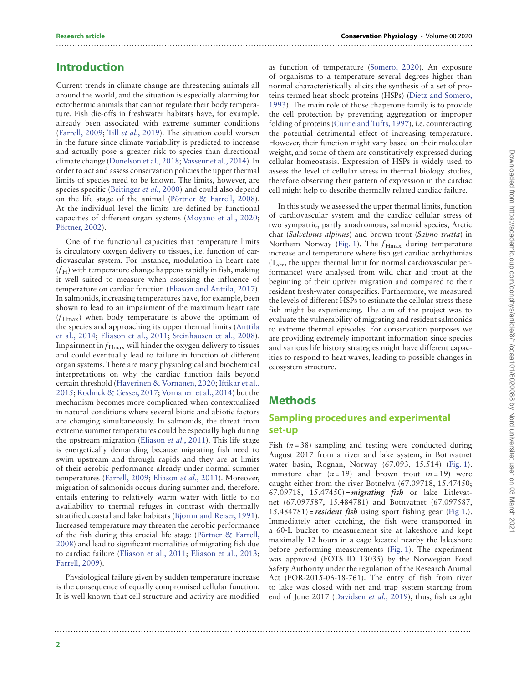#### **Research article Conservation Physiology** • Volume 00 2020

### **Introduction**

Current trends in climate change are threatening animals all around the world, and the situation is especially alarming for ectothermic animals that cannot regulate their body temperature. Fish die-offs in freshwater habitats have, for example, already been associated with extreme summer conditions [\(Farrell, 2009;](#page-8-0) Till et al.[, 2019\)](#page-9-0). The situation could worsen in the future since climate variability is predicted to increase and actually pose a greater risk to species than directional climate change [\(Donelson et al., 2018;](#page-8-1) [Vasseur et al., 2014\)](#page-9-1). In order to act and assess conservation policies the upper thermal limits of species need to be known. The limits, however, are species specific [\(Beitinger](#page-7-0) et al., 2000) and could also depend on the life stage of the animal [\(Pörtner & Farrell, 2008\)](#page-9-2). At the individual level the limits are defined by functional capacities of different organ systems [\(Moyano et al., 2020;](#page-8-2) [Pörtner, 2002\)](#page-9-3).

One of the functional capacities that temperature limits is circulatory oxygen delivery to tissues, i.e. function of cardiovascular system. For instance, modulation in heart rate  $(f_H)$  with temperature change happens rapidly in fish, making it well suited to measure when assessing the influence of temperature on cardiac function [\(Eliason and Anttila, 2017\)](#page-8-3). In salmonids, increasing temperatures have, for example, been shown to lead to an impairment of the maximum heart rate  $(f_{\text{Hmax}})$  when body temperature is above the optimum of [the species and approaching its upper thermal limits \(Anttila](#page-7-1) et al., 2014; [Eliason et al., 2011;](#page-8-4) [Steinhausen et al., 2008\)](#page-9-4). Impairment in  $f_{\text{Hmax}}$  will hinder the oxygen delivery to tissues and could eventually lead to failure in function of different organ systems. There are many physiological and biochemical interpretations on why the cardiac function fails beyond [certain threshold \(](#page-8-6)[Haverinen & Vornanen, 2020](#page-8-5)[;](#page-8-6) Iftikar et al., 2015; [Rodnick & Gesser, 2017;](#page-9-5) [Vornanen et al., 2014\)](#page-9-6) but the mechanism becomes more complicated when contextualized in natural conditions where several biotic and abiotic factors are changing simultaneously. In salmonids, the threat from extreme summer temperatures could be especially high during the upstream migration [\(Eliason](#page-8-4) et al., 2011). This life stage is energetically demanding because migrating fish need to swim upstream and through rapids and they are at limits of their aerobic performance already under normal summer temperatures [\(Farrell, 2009;](#page-8-0) [Eliason](#page-8-4) et al., 2011). Moreover, migration of salmonids occurs during summer and, therefore, entails entering to relatively warm water with little to no availability to thermal refuges in contrast with thermally stratified coastal and lake habitats [\(Bjornn and Reiser, 1991\)](#page-7-2). Increased temperature may threaten the aerobic performance [of the fish during this crucial life stage \(Pörtner & Farrell,](#page-9-2) 2008) and lead to significant mortalities of migrating fish due to cardiac failure [\(Eliason et al., 2011;](#page-8-4) [Eliason et al., 2013;](#page-8-7) [Farrell, 2009\)](#page-8-0).

Physiological failure given by sudden temperature increase is the consequence of equally compromised cellular function. It is well known that cell structure and activity are modified

as function of temperature [\(Somero, 2020\)](#page-9-7). An exposure of organisms to a temperature several degrees higher than normal characteristically elicits the synthesis of a set of pro[teins termed heat shock proteins \(HSPs\) \(Dietz and Somero,](#page-8-8) 1993). The main role of those chaperone family is to provide the cell protection by preventing aggregation or improper folding of proteins [\(Currie and Tufts, 1997\)](#page-8-9), i.e. counteracting the potential detrimental effect of increasing temperature. However, their function might vary based on their molecular weight, and some of them are constitutively expressed during cellular homeostasis. Expression of HSPs is widely used to assess the level of cellular stress in thermal biology studies, therefore observing their pattern of expression in the cardiac cell might help to describe thermally related cardiac failure.

In this study we assessed the upper thermal limits, function of cardiovascular system and the cardiac cellular stress of two sympatric, partly anadromous, salmonid species, Arctic char (Salvelinus alpinus) and brown trout (Salmo trutta) in Northern Norway [\(Fig. 1\)](#page-2-0). The  $f_{\text{Hmax}}$  during temperature increase and temperature where fish get cardiac arrhythmias  $(T_{arr}$ , the upper thermal limit for normal cardiovascular performance) were analysed from wild char and trout at the beginning of their upriver migration and compared to their resident fresh-water conspecifics. Furthermore, we measured the levels of different HSPs to estimate the cellular stress these fish might be experiencing. The aim of the project was to evaluate the vulnerability of migrating and resident salmonids to extreme thermal episodes. For conservation purposes we are providing extremely important information since species and various life history strategies might have different capacities to respond to heat waves, leading to possible changes in ecosystem structure.

### **Methods**

..........................................................................................................................................................

..........................................................................................................................................................

### **Sampling procedures and experimental set-up**

Fish  $(n=38)$  sampling and testing were conducted during August 2017 from a river and lake system, in Botnvatnet water basin, Rognan, Norway (67.093, 15.514) [\(Fig. 1\)](#page-2-0). Immature char  $(n=19)$  and brown trout  $(n=19)$  were caught either from the river Botnelva (67.09718, 15.47450; 67.09718, 15.47450) = *migrating fish* or lake Litlevatnet (67.097587, 15.484781) and Botnvatnet (67.097587, 15.484781) = *resident fish* using sport fishing gear [\(Fig 1.](#page-2-0)). Immediately after catching, the fish were transported in a 60-L bucket to measurement site at lakeshore and kept maximally 12 hours in a cage located nearby the lakeshore before performing measurements [\(Fig. 1\)](#page-2-0). The experiment was approved (FOTS ID 13035) by the Norwegian Food Safety Authority under the regulation of the Research Animal Act (FOR-2015-06-18-761). The entry of fish from river to lake was closed with net and trap system starting from end of June 2017 [\(Davidsen](#page-8-10) et al., 2019), thus, fish caught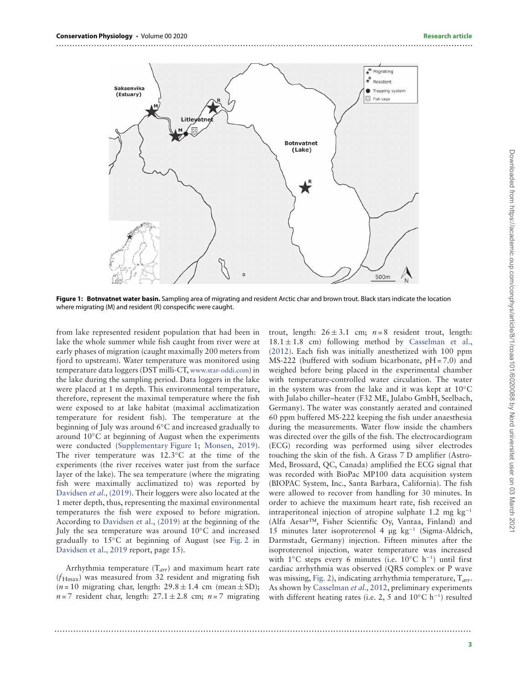

<span id="page-2-0"></span>**Figure 1: Botnvatnet water basin.** Sampling area of migrating and resident Arctic char and brown trout. Black stars indicate the location where migrating (M) and resident (R) conspecific were caught.

from lake represented resident population that had been in lake the whole summer while fish caught from river were at early phases of migration (caught maximally 200 meters from fjord to upstream). Water temperature was monitored using temperature data loggers (DST milli-CT, [www.star-oddi.com\)](www.star-oddi.com) in the lake during the sampling period. Data loggers in the lake were placed at 1 m depth. This environmental temperature, therefore, represent the maximal temperature where the fish were exposed to at lake habitat (maximal acclimatization temperature for resident fish). The temperature at the beginning of July was around 6◦C and increased gradually to around 10◦C at beginning of August when the experiments were conducted (Supplementary Figure 1; [Monsen, 2019\)](#page-8-11). The river temperature was 12.3◦C at the time of the experiments (the river receives water just from the surface layer of the lake). The sea temperature (where the migrating fish were maximally acclimatized to) was reported by [Davidsen](#page-8-10) et al., (2019). Their loggers were also located at the 1 meter depth, thus, representing the maximal environmental temperatures the fish were exposed to before migration. According to [Davidsen et al., \(2019\)](#page-8-10) at the beginning of the July the sea temperature was around 10◦C and increased gradually to 15◦C at beginning of August (see [Fig. 2](#page-3-0) in [Davidsen et al., 2019](#page-8-10) report, page 15).

Arrhythmia temperature  $(T_{arr})$  and maximum heart rate  $(f_{\text{Hmax}})$  was measured from 32 resident and migrating fish  $(n = 10$  migrating char, length:  $29.8 \pm 1.4$  cm (mean  $\pm$  SD);  $n=7$  resident char, length:  $27.1 \pm 2.8$  cm;  $n=7$  migrating

trout, length:  $26 \pm 3.1$  cm;  $n = 8$  resident trout, length:  $18.1 \pm 1.8$  cm) following method by Casselman et al., [\(2012\). Each fish was initially anesthetized with 100 ppm](#page-7-3) MS-222 (buffered with sodium bicarbonate, pH = 7.0) and weighed before being placed in the experimental chamber with temperature-controlled water circulation. The water in the system was from the lake and it was kept at 10◦C with Julabo chiller–heater (F32 ME, Julabo GmbH, Seelbach, Germany). The water was constantly aerated and contained 60 ppm buffered MS-222 keeping the fish under anaesthesia during the measurements. Water flow inside the chambers was directed over the gills of the fish. The electrocardiogram (ECG) recording was performed using silver electrodes touching the skin of the fish. A Grass 7 D amplifier (Astro-Med, Brossard, QC, Canada) amplified the ECG signal that was recorded with BioPac MP100 data acquisition system (BIOPAC System, Inc., Santa Barbara, California). The fish were allowed to recover from handling for 30 minutes. In order to achieve the maximum heart rate, fish received an intraperitoneal injection of atropine sulphate 1.2 mg  $kg^{-1}$ (Alfa Aesar™, Fisher Scientific Oy, Vantaa, Finland) and 15 minutes later isoproterenol 4 μg kg−<sup>1</sup> (Sigma-Aldrich, Darmstadt, Germany) injection. Fifteen minutes after the isoproterenol injection, water temperature was increased with 1◦C steps every 6 minutes (i.e. 10◦C h−1) until first cardiac arrhythmia was observed (QRS complex or P wave was missing, [Fig. 2\)](#page-3-0), indicating arrhythmia temperature,  $T_{\text{arr}}$ . As shown by [Casselman](#page-7-3) et al., 2012, preliminary experiments with different heating rates (i.e. 2, 5 and  $10\degree C$  h<sup>-1</sup>) resulted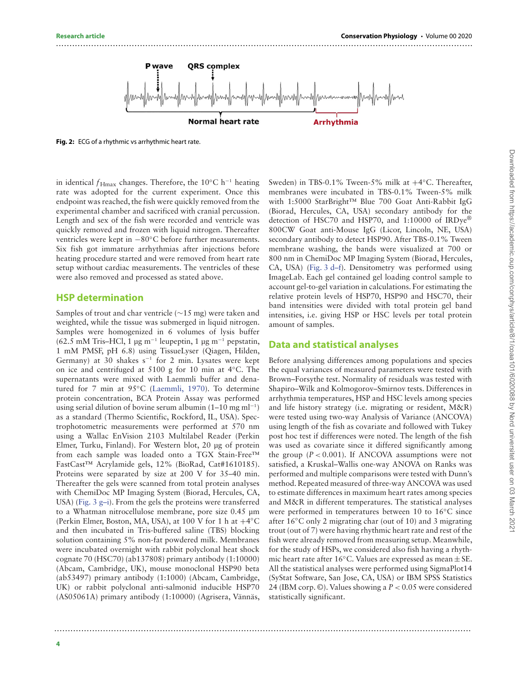

..........................................................................................................................................................

<span id="page-3-0"></span>**Fig. 2:** ECG of a rhythmic vs arrhythmic heart rate.

in identical  $f_{\text{Hmax}}$  changes. Therefore, the 10°C h<sup>-1</sup> heating rate was adopted for the current experiment. Once this endpoint was reached, the fish were quickly removed from the experimental chamber and sacrificed with cranial percussion. Length and sex of the fish were recorded and ventricle was quickly removed and frozen with liquid nitrogen. Thereafter ventricles were kept in −80◦C before further measurements. Six fish got immature arrhythmias after injections before heating procedure started and were removed from heart rate setup without cardiac measurements. The ventricles of these were also removed and processed as stated above.

#### **HSP determination**

Samples of trout and char ventricle (∼15 mg) were taken and weighted, while the tissue was submerged in liquid nitrogen. Samples were homogenized in 6 volumes of lysis buffer (62.5 mM Tris–HCl, 1 μg m−<sup>1</sup> leupeptin, 1 μg m−<sup>1</sup> pepstatin, 1 mM PMSF, pH 6.8) using TissueLyser (Qiagen, Hilden, Germany) at 30 shakes s−<sup>1</sup> for 2 min. Lysates were kept on ice and centrifuged at 5100 g for 10 min at 4◦C. The supernatants were mixed with Laemmli buffer and denatured for 7 min at 95◦C [\(Laemmli, 1970\)](#page-8-12). To determine protein concentration, BCA Protein Assay was performed using serial dilution of bovine serum albumin  $(1–10 \text{ mg ml}^{-1})$ as a standard (Thermo Scientific, Rockford, IL, USA). Spectrophotometric measurements were performed at 570 nm using a Wallac EnVision 2103 Multilabel Reader (Perkin Elmer, Turku, Finland). For Western blot, 20 μg of protein from each sample was loaded onto a TGX Stain-Free™ FastCast™ Acrylamide gels, 12% (BioRad, Cat#1610185). Proteins were separated by size at 200 V for 35–40 min. Thereafter the gels were scanned from total protein analyses with ChemiDoc MP Imaging System (Biorad, Hercules, CA, USA) [\(Fig. 3 g–i\)](#page-4-0). From the gels the proteins were transferred to a Whatman nitrocellulose membrane, pore size 0.45 μm (Perkin Elmer, Boston, MA, USA), at 100 V for 1 h at +4◦C and then incubated in Tris-buffered saline (TBS) blocking solution containing 5% non-fat powdered milk. Membranes were incubated overnight with rabbit polyclonal heat shock cognate 70 (HSC70) (ab137808) primary antibody (1:10000) (Abcam, Cambridge, UK), mouse monoclonal HSP90 beta (ab53497) primary antibody (1:1000) (Abcam, Cambridge, UK) or rabbit polyclonal anti-salmonid inducible HSP70 (AS05061A) primary antibody (1:10000) (Agrisera, Vännäs,

Sweden) in TBS-0.1% Tween-5% milk at  $+4°C$ . Thereafter, membranes were incubated in TBS-0.1% Tween-5% milk with 1:5000 StarBright™ Blue 700 Goat Anti-Rabbit IgG (Biorad, Hercules, CA, USA) secondary antibody for the detection of HSC70 and HSP70, and 1:10000 of IRDye® 800CW Goat anti-Mouse IgG (Licor, Lincoln, NE, USA) secondary antibody to detect HSP90. After TBS-0.1% Tween membrane washing, the bands were visualized at 700 or 800 nm in ChemiDoc MP Imaging System (Biorad, Hercules, CA, USA) [\(Fig. 3 d–f\)](#page-4-0). Densitometry was performed using ImageLab. Each gel contained gel loading control sample to account gel-to-gel variation in calculations. For estimating the relative protein levels of HSP70, HSP90 and HSC70, their band intensities were divided with total protein gel band intensities, i.e. giving HSP or HSC levels per total protein amount of samples.

#### **Data and statistical analyses**

Before analysing differences among populations and species the equal variances of measured parameters were tested with Brown–Forsythe test. Normality of residuals was tested with Shapiro–Wilk and Kolmogorov–Smirnov tests. Differences in arrhythmia temperatures, HSP and HSC levels among species and life history strategy (i.e. migrating or resident, M&R) were tested using two-way Analysis of Variance (ANCOVA) using length of the fish as covariate and followed with Tukey post hoc test if differences were noted. The length of the fish was used as covariate since it differed significantly among the group  $(P < 0.001)$ . If ANCOVA assumptions were not satisfied, a Kruskal–Wallis one-way ANOVA on Ranks was performed and multiple comparisons were tested with Dunn's method. Repeated measured of three-way ANCOVA was used to estimate differences in maximum heart rates among species and M&R in different temperatures. The statistical analyses were performed in temperatures between 10 to 16◦C since after 16◦C only 2 migrating char (out of 10) and 3 migrating trout (out of 7) were having rhythmic heart rate and rest of the fish were already removed from measuring setup. Meanwhile, for the study of HSPs, we considered also fish having a rhythmic heart rate after 16◦C. Values are expressed as mean ± SE. All the statistical analyses were performed using SigmaPlot14 (SyStat Software, San Jose, CA, USA) or IBM SPSS Statistics 24 (IBM corp. ©). Values showing a P *<* 0.05 were considered statistically significant.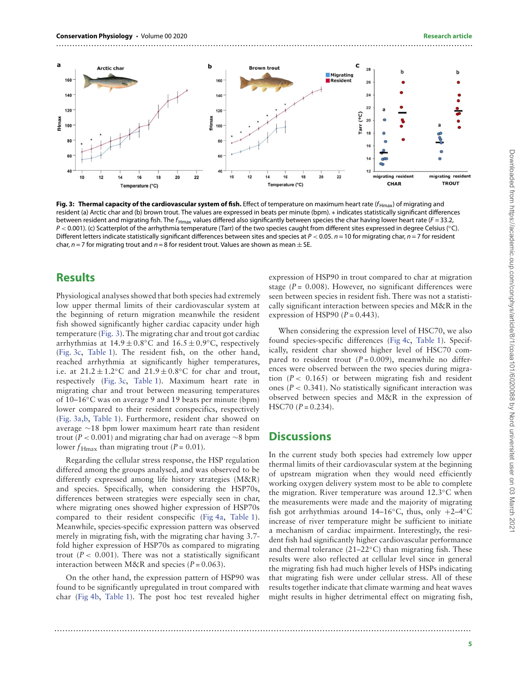

<span id="page-4-0"></span>Fig. 3: Thermal capacity of the cardiovascular system of fish. Effect of temperature on maximum heart rate ( $f_{Hmax}$ ) of migrating and resident (a) Arctic char and (b) brown trout. The values are expressed in beats per minute (bpm). ∗ indicates statistically significant differences between resident and migrating fish. The  $f_{Hmax}$  values differed also significantly between species the char having lower heart rate ( $F = 33.2$ , P *<* 0.001). (c) Scatterplot of the arrhythmia temperature (Tarr) of the two species caught from different sites expressed in degree Celsius (◦C). Different letters indicate statistically significant differences between sites and species at  $P < 0.05$ .  $n = 10$  for migrating char,  $n = 7$  for resident char,  $n = 7$  for migrating trout and  $n = 8$  for resident trout. Values are shown as mean  $\pm$  SE.

### **Results**

Physiological analyses showed that both species had extremely low upper thermal limits of their cardiovascular system at the beginning of return migration meanwhile the resident fish showed significantly higher cardiac capacity under high temperature [\(Fig. 3\)](#page-4-0). The migrating char and trout got cardiac arrhythmias at  $14.9 \pm 0.8$ °C and  $16.5 \pm 0.9$ °C, respectively [\(Fig. 3c,](#page-4-0) [Table 1\)](#page-5-0). The resident fish, on the other hand, reached arrhythmia at significantly higher temperatures, i.e. at  $21.2 \pm 1.2$ °C and  $21.9 \pm 0.8$ °C for char and trout, respectively [\(Fig. 3c,](#page-4-0) [Table 1\)](#page-5-0). Maximum heart rate in migrating char and trout between measuring temperatures of 10–16◦C was on average 9 and 19 beats per minute (bpm) lower compared to their resident conspecifics, respectively [\(Fig. 3a,b,](#page-4-0) [Table 1\)](#page-5-0). Furthermore, resident char showed on average ∼18 bpm lower maximum heart rate than resident trout (P *<* 0.001) and migrating char had on average ∼8 bpm lower  $f_{\text{Hmax}}$  than migrating trout (P = 0.01).

Regarding the cellular stress response, the HSP regulation differed among the groups analysed, and was observed to be differently expressed among life history strategies (M&R) and species. Specifically, when considering the HSP70s, differences between strategies were especially seen in char, where migrating ones showed higher expression of HSP70s compared to their resident conspecific [\(Fig 4a,](#page-5-1) [Table 1\)](#page-5-0). Meanwhile, species-specific expression pattern was observed merely in migrating fish, with the migrating char having 3.7 fold higher expression of HSP70s as compared to migrating trout  $(P < 0.001)$ . There was not a statistically significant interaction between M&R and species  $(P = 0.063)$ .

On the other hand, the expression pattern of HSP90 was found to be significantly upregulated in trout compared with char [\(Fig 4b,](#page-5-1) [Table 1\)](#page-5-0). The post hoc test revealed higher

..........................................................................................................................................................

expression of HSP90 in trout compared to char at migration stage  $(P = 0.008)$ . However, no significant differences were seen between species in resident fish. There was not a statistically significant interaction between species and M&R in the expression of HSP90  $(P = 0.443)$ .

When considering the expression level of HSC70, we also found species-specific differences [\(Fig 4c,](#page-5-1) [Table 1\)](#page-5-0). Specifically, resident char showed higher level of HSC70 compared to resident trout  $(P=0.009)$ , meanwhile no differences were observed between the two species during migration  $(P < 0.165)$  or between migrating fish and resident ones (P *<* 0.341). No statistically significant interaction was observed between species and M&R in the expression of HSC70  $(P = 0.234)$ .

#### **Discussions**

In the current study both species had extremely low upper thermal limits of their cardiovascular system at the beginning of upstream migration when they would need efficiently working oxygen delivery system most to be able to complete the migration. River temperature was around 12.3◦C when the measurements were made and the majority of migrating fish got arrhythmias around 14–16°C, thus, only  $+2-4$ °C increase of river temperature might be sufficient to initiate a mechanism of cardiac impairment. Interestingly, the resident fish had significantly higher cardiovascular performance and thermal tolerance (21–22◦C) than migrating fish. These results were also reflected at cellular level since in general the migrating fish had much higher levels of HSPs indicating that migrating fish were under cellular stress. All of these results together indicate that climate warming and heat waves might results in higher detrimental effect on migrating fish,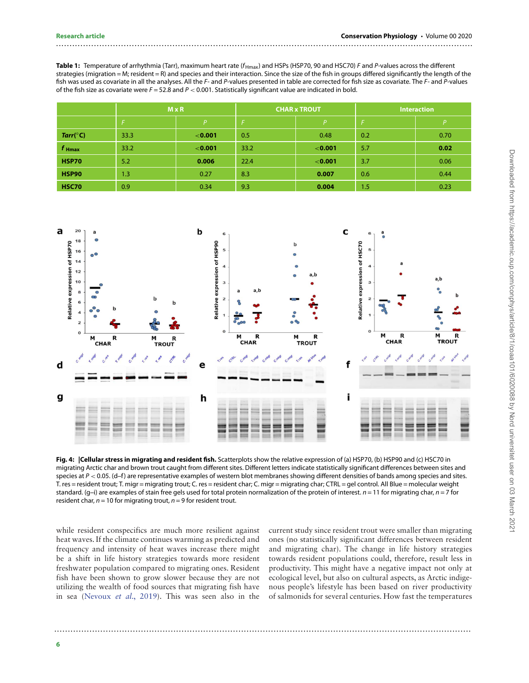#### <span id="page-5-0"></span>Table 1: Temperature of arrhythmia (Tarr), maximum heart rate ( $f_{Hmax}$ ) and HSPs (HSP70, 90 and HSC70) F and P-values across the different strategies (migration = M; resident = R) and species and their interaction. Since the size of the fish in groups differed significantly the length of the fish was used as covariate in all the analyses. All the F- and P-values presented in table are corrected for fish size as covariate. The F- and P-values of the fish size as covariate were F = 52.8 and P *<* 0.001. Statistically significant value are indicated in bold.

..........................................................................................................................................................

|                   | $M \times R$ |         | <b>CHAR x TROUT</b> |         | <b>Interaction</b> |      |
|-------------------|--------------|---------|---------------------|---------|--------------------|------|
|                   |              | Þ       |                     | P       |                    | Þ    |
| Tarr(°C)          | 33.3         | < 0.001 | 0.5                 | 0.48    | 0.2                | 0.70 |
| $f_{\text{Hmax}}$ | 33.2         | < 0.001 | 33.2                | < 0.001 | 5.7                | 0.02 |
| <b>HSP70</b>      | 5.2          | 0.006   | 22.4                | < 0.001 | 3.7                | 0.06 |
| <b>HSP90</b>      | 1.3          | 0.27    | 8.3                 | 0.007   | 0.6                | 0.44 |
| <b>HSC70</b>      | 0.9          | 0.34    | 9.3                 | 0.004   | 1.5                | 0.23 |



<span id="page-5-1"></span>**Fig. 4: |Cellular stress in migrating and resident fish.** Scatterplots show the relative expression of (a) HSP70, (b) HSP90 and (c) HSC70 in migrating Arctic char and brown trout caught from different sites. Different letters indicate statistically significant differences between sites and species at P *<* 0.05. (d–f) are representative examples of western blot membranes showing different densities of bands among species and sites. T. res = resident trout; T. migr = migrating trout; C. res = resident char; C. migr = migrating char; CTRL = gel control. All Blue = molecular weight standard. (g-i) are examples of stain free gels used for total protein normalization of the protein of interest.  $n = 11$  for migrating char,  $n = 7$  for resident char,  $n = 10$  for migrating trout,  $n = 9$  for resident trout.

..........................................................................................................................................................

while resident conspecifics are much more resilient against heat waves. If the climate continues warming as predicted and frequency and intensity of heat waves increase there might be a shift in life history strategies towards more resident freshwater population compared to migrating ones. Resident fish have been shown to grow slower because they are not utilizing the wealth of food sources that migrating fish have in sea [\(Nevoux](#page-9-8) et al., 2019). This was seen also in the

current study since resident trout were smaller than migrating ones (no statistically significant differences between resident and migrating char). The change in life history strategies towards resident populations could, therefore, result less in productivity. This might have a negative impact not only at ecological level, but also on cultural aspects, as Arctic indigenous people's lifestyle has been based on river productivity of salmonids for several centuries. How fast the temperatures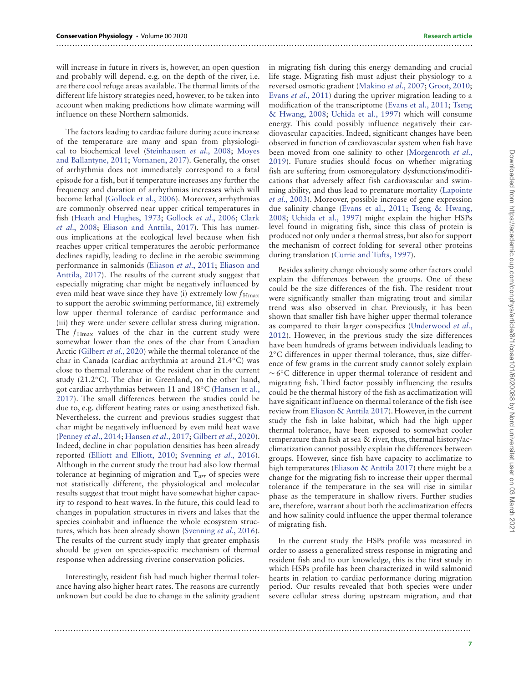will increase in future in rivers is, however, an open question and probably will depend, e.g. on the depth of the river, i.e. are there cool refuge areas available. The thermal limits of the different life history strategies need, however, to be taken into account when making predictions how climate warming will influence on these Northern salmonids.

The factors leading to cardiac failure during acute increase of the temperature are many and span from physiologi[cal to biochemical level \(](#page-8-13)[Steinhausen](#page-9-4) et al., 2008; Moyes and Ballantyne, 2011; [Vornanen, 2017\)](#page-9-9). Generally, the onset of arrhythmia does not immediately correspond to a fatal episode for a fish, but if temperature increases any further the frequency and duration of arrhythmias increases which will become lethal [\(Gollock et al., 2006\)](#page-8-14). Moreover, arrhythmias are commonly observed near upper critical temperatures in fish [\(Heath and Hughes, 1973;](#page-8-15) [Gollock](#page-8-14) et al., 2006; Clark et al., 2008; [Eliason and Anttila, 2017\). This has numer](#page-7-4)ous implications at the ecological level because when fish reaches upper critical temperatures the aerobic performance declines rapidly, leading to decline in the aerobic swimming performance in salmonids [\(Eliason](#page-8-4) et al., 2011; Eliason and [Anttila, 2017\). The results of the current study suggest that](#page-8-3) especially migrating char might be negatively influenced by even mild heat wave since they have (i) extremely low  $f_{\text{Hmax}}$ to support the aerobic swimming performance, (ii) extremely low upper thermal tolerance of cardiac performance and (iii) they were under severe cellular stress during migration. The  $f_{\text{Hmax}}$  values of the char in the current study were somewhat lower than the ones of the char from Canadian Arctic [\(Gilbert](#page-8-16) et al., 2020) while the thermal tolerance of the char in Canada (cardiac arrhythmia at around 21.4◦C) was close to thermal tolerance of the resident char in the current study (21.2◦C). The char in Greenland, on the other hand, got cardiac arrhythmias between 11 and 18◦C (Hansen et al., [2017\). The small differences between the studies could be](#page-8-17) due to, e.g. different heating rates or using anesthetized fish. Nevertheless, the current and previous studies suggest that char might be negatively influenced by even mild heat wave [\(Penney](#page-9-10) et al., 2014; [Hansen](#page-8-17) et al., 2017; [Gilbert](#page-8-16) et al., 2020). Indeed, decline in char population densities has been already reported [\(Elliott and Elliott, 2010;](#page-8-18) [Svenning](#page-9-11) et al., 2016). Although in the current study the trout had also low thermal tolerance at beginning of migration and  $T_{arr}$  of species were not statistically different, the physiological and molecular results suggest that trout might have somewhat higher capacity to respond to heat waves. In the future, this could lead to changes in population structures in rivers and lakes that the species coinhabit and influence the whole ecosystem struc-tures, which has been already shown [\(Svenning](#page-9-11) et al., 2016). The results of the current study imply that greater emphasis should be given on species-specific mechanism of thermal response when addressing riverine conservation policies.

Interestingly, resident fish had much higher thermal tolerance having also higher heart rates. The reasons are currently unknown but could be due to change in the salinity gradient

..........................................................................................................................................................

in migrating fish during this energy demanding and crucial life stage. Migrating fish must adjust their physiology to a reversed osmotic gradient [\(Makino](#page-8-19) et al., 2007; [Groot, 2010;](#page-8-20) Evans et al.[, 2011\)](#page-8-21) during the upriver migration leading to a [modification of the transcriptome \(](#page-9-12)[Evans et al., 2011](#page-8-21)[;](#page-9-12) Tseng & Hwang, 2008; [Uchida et al., 1997\)](#page-9-13) which will consume energy. This could possibly influence negatively their cardiovascular capacities. Indeed, significant changes have been observed in function of cardiovascular system when fish have been moved from one salinity to other (Morgenroth et al., [2019\). Future studies should focus on whether migrating](#page-8-22) fish are suffering from osmoregulatory dysfunctions/modifications that adversely affect fish cardiovascular and swim[ming ability, and thus lead to premature mortality \(Lapointe](#page-8-23) et al., 2003). Moreover, possible increase of gene expression due salinity change [\(Evans et al., 2011;](#page-8-21) Tseng & Hwang, 2008; [Uchida et al., 1997\) might explain the higher HSPs](#page-9-12) level found in migrating fish, since this class of protein is produced not only under a thermal stress, but also for support the mechanism of correct folding for several other proteins during translation [\(Currie and Tufts, 1997\)](#page-8-9).

Besides salinity change obviously some other factors could explain the differences between the groups. One of these could be the size differences of the fish. The resident trout were significantly smaller than migrating trout and similar trend was also observed in char. Previously, it has been shown that smaller fish have higher upper thermal tolerance as compared to their larger conspecifics (Underwood et al., [2012\). However, in the previous study the size differences](#page-9-14) have been hundreds of grams between individuals leading to 2<sup>°</sup>C differences in upper thermal tolerance, thus, size difference of few grams in the current study cannot solely explain ∼ 6◦C difference in upper thermal tolerance of resident and migrating fish. Third factor possibly influencing the results could be the thermal history of the fish as acclimatization will have significant influence on thermal tolerance of the fish (see review from [Eliason & Anttila 2017\)](#page-8-3). However, in the current study the fish in lake habitat, which had the high upper thermal tolerance, have been exposed to somewhat cooler temperature than fish at sea & river, thus, thermal history/acclimatization cannot possibly explain the differences between groups. However, since fish have capacity to acclimatize to high temperatures [\(Eliason & Anttila 2017\)](#page-8-3) there might be a change for the migrating fish to increase their upper thermal tolerance if the temperature in the sea will rise in similar phase as the temperature in shallow rivers. Further studies are, therefore, warrant about both the acclimatization effects and how salinity could influence the upper thermal tolerance of migrating fish.

In the current study the HSPs profile was measured in order to assess a generalized stress response in migrating and resident fish and to our knowledge, this is the first study in which HSPs profile has been characterized in wild salmonid hearts in relation to cardiac performance during migration period. Our results revealed that both species were under severe cellular stress during upstream migration, and that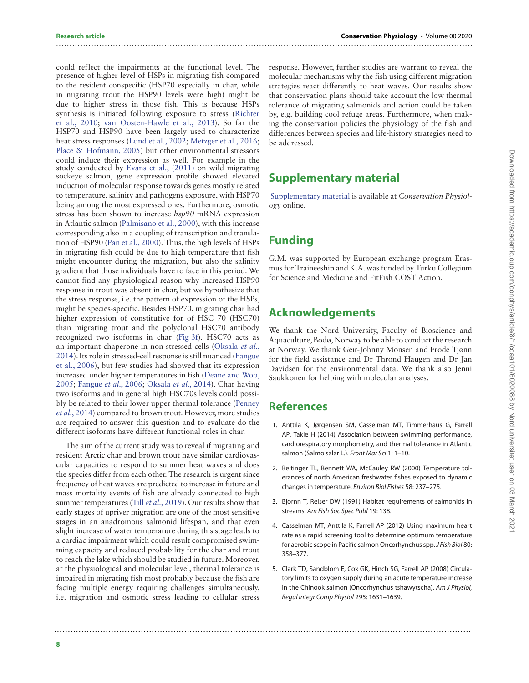could reflect the impairments at the functional level. The presence of higher level of HSPs in migrating fish compared to the resident conspecific (HSP70 especially in char, while in migrating trout the HSP90 levels were high) might be due to higher stress in those fish. This is because HSPs [synthesis is initiated following exposure to stress \(Richter](#page-9-15) et al., 2010; [van Oosten-Hawle et al., 2013\)](#page-9-16). So far the HSP70 and HSP90 have been largely used to characterize heat stress responses [\(Lund et al., 2002;](#page-8-24) [Metzger et al., 2016;](#page-8-25) [Place & Hofmann, 2005\)](#page-9-17) but other environmental stressors could induce their expression as well. For example in the study conducted by [Evans et al., \(2011\)](#page-8-21) on wild migrating sockeye salmon, gene expression profile showed elevated induction of molecular response towards genes mostly related to temperature, salinity and pathogens exposure, with HSP70 being among the most expressed ones. Furthermore, osmotic stress has been shown to increase hsp90 mRNA expression in Atlantic salmon [\(Palmisano et al., 2000\)](#page-9-18), with this increase corresponding also in a coupling of transcription and translation of HSP90 [\(Pan et al., 2000\)](#page-9-19). Thus, the high levels of HSPs in migrating fish could be due to high temperature that fish might encounter during the migration, but also the salinity gradient that those individuals have to face in this period. We cannot find any physiological reason why increased HSP90 response in trout was absent in char, but we hypothesize that the stress response, i.e. the pattern of expression of the HSPs, might be species-specific. Besides HSP70, migrating char had higher expression of constitutive for of HSC 70 (HSC70) than migrating trout and the polyclonal HSC70 antibody recognized two isoforms in char [\(Fig 3f\)](#page-4-0). HSC70 acts as an important chaperone in non-stressed cells (Oksala et al., [2014\). Its role in stressed-cell response is still nuanced \(Fangue](#page-9-20) et al., 2006), but few studies had showed that its expression [increased under higher temperatures in fish \(Deane and Woo,](#page-8-27) 2005; [Fangue](#page-8-26) et al., 2006; [Oksala](#page-9-20) et al., 2014). Char having two isoforms and in general high HSC70s levels could possi[bly be related to their lower upper thermal tolerance \(Penney](#page-9-10) et al., 2014) compared to brown trout. However, more studies are required to answer this question and to evaluate do the different isoforms have different functional roles in char.

The aim of the current study was to reveal if migrating and resident Arctic char and brown trout have similar cardiovascular capacities to respond to summer heat waves and does the species differ from each other. The research is urgent since frequency of heat waves are predicted to increase in future and mass mortality events of fish are already connected to high summer temperatures (Till et al.[, 2019\)](#page-9-0). Our results show that early stages of upriver migration are one of the most sensitive stages in an anadromous salmonid lifespan, and that even slight increase of water temperature during this stage leads to a cardiac impairment which could result compromised swimming capacity and reduced probability for the char and trout to reach the lake which should be studied in future. Moreover, at the physiological and molecular level, thermal tolerance is impaired in migrating fish most probably because the fish are facing multiple energy requiring challenges simultaneously, i.e. migration and osmotic stress leading to cellular stress

response. However, further studies are warrant to reveal the molecular mechanisms why the fish using different migration strategies react differently to heat waves. Our results show that conservation plans should take account the low thermal tolerance of migrating salmonids and action could be taken by, e.g. building cool refuge areas. Furthermore, when making the conservation policies the physiology of the fish and differences between species and life-history strategies need to be addressed.

### **Supplementary material**

[Supplementary material](https://academic.oup.com/conphys/article-lookup/doi/10.1093/conphys/coaa101#supplementary-data) is available at Conservation Physiology online.

### **Funding**

..........................................................................................................................................................

G.M. was supported by European exchange program Erasmus for Traineeship and K.A. was funded by Turku Collegium for Science and Medicine and FitFish COST Action.

## **Acknowledgements**

We thank the Nord University, Faculty of Bioscience and Aquaculture, Bodø, Norway to be able to conduct the research at Norway. We thank Geir-Johnny Monsen and Frode Tjønn for the field assistance and Dr Thrond Haugen and Dr Jan Davidsen for the environmental data. We thank also Jenni Saukkonen for helping with molecular analyses.

### **References**

..........................................................................................................................................................

- <span id="page-7-1"></span>1. Anttila K, Jørgensen SM, Casselman MT, Timmerhaus G, Farrell AP, Takle H (2014) Association between swimming performance, cardiorespiratory morphometry, and thermal tolerance in Atlantic salmon (Salmo salar L.). Front Mar Sci 1: 1–10.
- <span id="page-7-0"></span>2. Beitinger TL, Bennett WA, McCauley RW (2000) Temperature tolerances of north American freshwater fishes exposed to dynamic changes in temperature. Environ Biol Fishes 58: 237–275.
- <span id="page-7-2"></span>3. Bjornn T, Reiser DW (1991) Habitat requirements of salmonids in streams. Am Fish Soc Spec Publ 19: 138.
- <span id="page-7-3"></span>4. Casselman MT, Anttila K, Farrell AP (2012) Using maximum heart rate as a rapid screening tool to determine optimum temperature for aerobic scope in Pacific salmon Oncorhynchus spp.J Fish Biol 80: 358–377.
- <span id="page-7-4"></span>5. Clark TD, Sandblom E, Cox GK, Hinch SG, Farrell AP (2008) Circulatory limits to oxygen supply during an acute temperature increase in the Chinook salmon (Oncorhynchus tshawytscha). Am J Physiol, Regul Integr Comp Physiol 295: 1631–1639.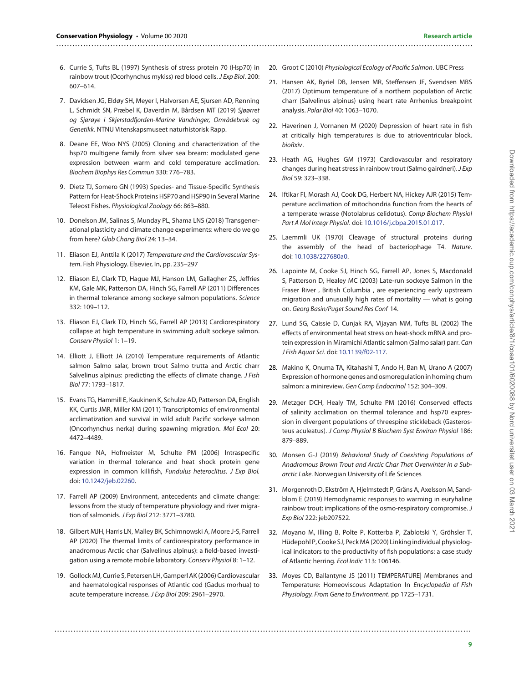- <span id="page-8-9"></span>6. Currie S, Tufts BL (1997) Synthesis of stress protein 70 (Hsp70) in rainbow trout (Ocorhynchus mykiss) red blood cells. J Exp Biol. 200: 607–614.
- <span id="page-8-10"></span>7. Davidsen JG, Eldøy SH, Meyer I, Halvorsen AE, Sjursen AD, Rønning L, Schmidt SN, Præbel K, Daverdin M, Bårdsen MT (2019) Sjøørret og Sjørøye i Skjerstadfjorden-Marine Vandringer, Områdebruk og Genetikk. NTNU Vitenskapsmuseet naturhistorisk Rapp.
- <span id="page-8-27"></span>8. Deane EE, Woo NYS (2005) Cloning and characterization of the hsp70 multigene family from silver sea bream: modulated gene expression between warm and cold temperature acclimation. Biochem Biophys Res Commun 330: 776–783.
- <span id="page-8-8"></span>9. Dietz TJ, Somero GN (1993) Species- and Tissue-Specific Synthesis Pattern for Heat-Shock Proteins HSP70 and HSP90 in Several Marine Teleost Fishes. Physiological Zoology 66: 863–880.
- <span id="page-8-1"></span>10. Donelson JM, Salinas S, Munday PL, Shama LNS (2018) Transgenerational plasticity and climate change experiments: where do we go from here? Glob Chang Biol 24: 13–34.
- <span id="page-8-3"></span>11. Eliason EJ, Anttila K (2017) Temperature and the Cardiovascular System. Fish Physiology. Elsevier, In, pp. 235–297
- <span id="page-8-4"></span>12. Eliason EJ, Clark TD, Hague MJ, Hanson LM, Gallagher ZS, Jeffries KM, Gale MK, Patterson DA, Hinch SG, Farrell AP (2011) Differences in thermal tolerance among sockeye salmon populations. Science 332: 109–112.
- <span id="page-8-7"></span>13. Eliason EJ, Clark TD, Hinch SG, Farrell AP (2013) Cardiorespiratory collapse at high temperature in swimming adult sockeye salmon. Conserv Physiol 1: 1–19.
- <span id="page-8-18"></span>14. Elliott J, Elliott JA (2010) Temperature requirements of Atlantic salmon Salmo salar, brown trout Salmo trutta and Arctic charr Salvelinus alpinus: predicting the effects of climate change. J Fish Biol 77: 1793–1817.
- <span id="page-8-21"></span>15. Evans TG, Hammill E, Kaukinen K, Schulze AD, Patterson DA, English KK, Curtis JMR, Miller KM (2011) Transcriptomics of environmental acclimatization and survival in wild adult Pacific sockeye salmon (Oncorhynchus nerka) during spawning migration. Mol Ecol 20: 4472–4489.
- <span id="page-8-26"></span>16. Fangue NA, Hofmeister M, Schulte PM (2006) Intraspecific variation in thermal tolerance and heat shock protein gene expression in common killifish, Fundulus heteroclitus. J Exp Biol. doi: [10.1242/jeb.02260.](https://doi.org/10.1242/jeb.02260)
- <span id="page-8-0"></span>17. Farrell AP (2009) Environment, antecedents and climate change: lessons from the study of temperature physiology and river migration of salmonids. J Exp Biol 212: 3771-3780.
- <span id="page-8-16"></span>18. Gilbert MJH, Harris LN, Malley BK, Schimnowski A, Moore J-S, Farrell AP (2020) The thermal limits of cardiorespiratory performance in anadromous Arctic char (Salvelinus alpinus): a field-based investigation using a remote mobile laboratory. Conserv Physiol 8: 1–12.
- <span id="page-8-14"></span>19. Gollock MJ, Currie S, Petersen LH, Gamperl AK (2006) Cardiovascular and haematological responses of Atlantic cod (Gadus morhua) to acute temperature increase. J Exp Biol 209: 2961–2970.

<span id="page-8-20"></span>20. Groot C (2010) Physiological Ecology of Pacific Salmon. UBC Press

..........................................................................................................................................................

- <span id="page-8-17"></span>21. Hansen AK, Byriel DB, Jensen MR, Steffensen JF, Svendsen MBS (2017) Optimum temperature of a northern population of Arctic charr (Salvelinus alpinus) using heart rate Arrhenius breakpoint analysis. Polar Biol 40: 1063–1070.
- <span id="page-8-5"></span>22. Haverinen J, Vornanen M (2020) Depression of heart rate in fish at critically high temperatures is due to atrioventricular block. bioRxiv.
- <span id="page-8-15"></span>23. Heath AG, Hughes GM (1973) Cardiovascular and respiratory changes during heat stress in rainbow trout (Salmo gairdneri). J Exp Biol 59: 323–338.
- <span id="page-8-6"></span>24. Iftikar FI, Morash AJ, Cook DG, Herbert NA, Hickey AJR (2015) Temperature acclimation of mitochondria function from the hearts of a temperate wrasse (Notolabrus celidotus). Comp Biochem Physiol Part A Mol Integr Physiol. doi: [10.1016/j.cbpa.2015.01.017.](https://doi.org/10.1016/j.cbpa.2015.01.017)
- <span id="page-8-12"></span>25. Laemmli UK (1970) Cleavage of structural proteins during the assembly of the head of bacteriophage T4. Nature. doi: [10.1038/227680a0.](https://doi.org/10.1038/227680a0)
- <span id="page-8-23"></span>26. Lapointe M, Cooke SJ, Hinch SG, Farrell AP, Jones S, Macdonald S, Patterson D, Healey MC (2003) Late-run sockeye Salmon in the Fraser River , British Columbia , are experiencing early upstream migration and unusually high rates of mortality — what is going on. Georg Basin/Puget Sound Res Conf 14.
- <span id="page-8-24"></span>27. Lund SG, Caissie D, Cunjak RA, Vijayan MM, Tufts BL (2002) The effects of environmental heat stress on heat-shock mRNA and protein expression in Miramichi Atlantic salmon (Salmo salar) parr. Can J Fish Aquat Sci. doi: [10.1139/f02-117.](https://doi.org/10.1139/f02-117)
- <span id="page-8-19"></span>28. Makino K, Onuma TA, Kitahashi T, Ando H, Ban M, Urano A (2007) Expression of hormone genes and osmoregulation in homing chum salmon: a minireview. Gen Comp Endocrinol 152: 304–309.
- <span id="page-8-25"></span>29. Metzger DCH, Healy TM, Schulte PM (2016) Conserved effects of salinity acclimation on thermal tolerance and hsp70 expression in divergent populations of threespine stickleback (Gasterosteus aculeatus). J Comp Physiol B Biochem Syst Environ Physiol 186: 879–889.
- <span id="page-8-11"></span>30. Monsen G-J (2019) Behavioral Study of Coexisting Populations of Anadromous Brown Trout and Arctic Char That Overwinter in a Subarctic Lake. Norwegian University of Life Sciences
- <span id="page-8-22"></span>31. Morgenroth D, Ekström A, Hjelmstedt P, Gräns A, Axelsson M, Sandblom E (2019) Hemodynamic responses to warming in euryhaline rainbow trout: implications of the osmo-respiratory compromise. J Exp Biol 222: jeb207522.
- <span id="page-8-2"></span>32. Moyano M, Illing B, Polte P, Kotterba P, Zablotski Y, Gröhsler T, Hüdepohl P, Cooke SJ, Peck MA (2020) Linking individual physiological indicators to the productivity of fish populations: a case study of Atlantic herring. Ecol Indic 113: 106146.
- <span id="page-8-13"></span>33. Moyes CD, Ballantyne JS (2011) TEMPERATURE| Membranes and Temperature: Homeoviscous Adaptation In Encyclopedia of Fish Physiology. From Gene to Environment. pp 1725–1731.